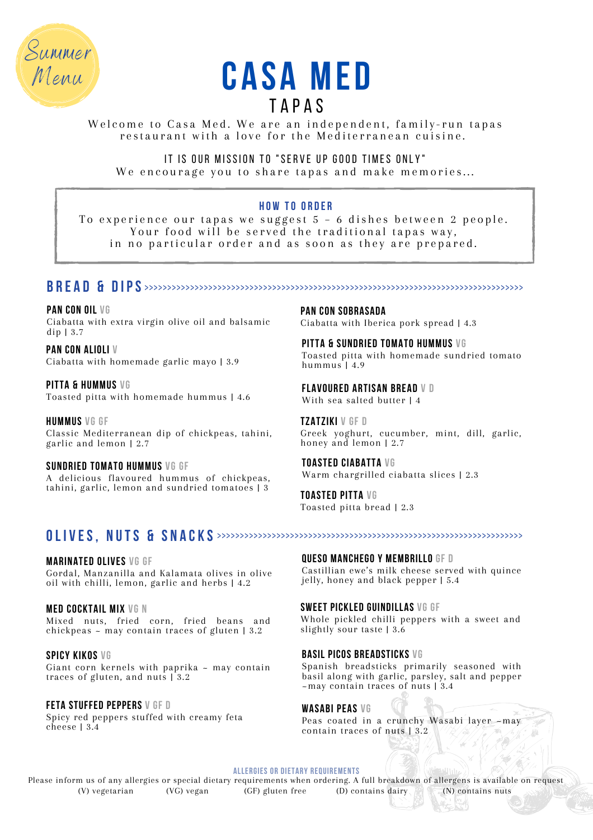



Welcome to Casa Med. We are an independent, family-run tapas restaurant with a love for the Mediterranean cuisine.

IT IS OUR MISSION TO "SERVE UP GOOD TIMES ONLY" We encourage you to share tapas and make memories...

# **H o w to O r d e r**

To experience our tapas we suggest 5 – 6 dishes between 2 people. Your food will be served the traditional tapas way, in no particular order and as soon as they are prepared.

# **b r e a d & d ips** >>>>>>>>>>>>>>>>>>>>>>>>>>>>>>>>>>>>>>>>>>>>>>>>>>>>>>>>>>>>>>>>>>>>>>>>>>>>>>>>>>>

**pan con oil vg** Ciabatta with extra virgin olive oil and balsamic dip | 3.7

**pan con alioli V** Ciabatta with homemade garlic mayo | 3.9

**pitta & hummus vg** Toasted pitta with homemade hummus | 4.6

**hummus vg GF** Classic Mediterranean dip of chickpeas, tahini, garlic and lemon | 2.7

#### **sundried tomato hummus vg gf** A delicious flavoured hummus of chickpeas, tahini, garlic, lemon and sundried tomatoes | 3

**pan con sobrasada** Ciabatta with Iberica pork spread | 4.3

**pitta & sundried tomato hummus vg** Toasted pitta with homemade sundried tomato hummus | 4.9

**flavoured artisan bread v d** With sea salted butter | 4

**Tzatziki v gf d** Greek yoghurt, cucumber, mint, dill, garlic, honey and lemon | 2.7

**toasted ciabatta vg** Warm chargrilled ciabatta slices | 2.3

**Toasted pitta vg** Toasted pitta bread | 2.3

# **OL I V ES, N UTS & S N A C K S** >>>>>>>>>>>>>>>>>>>>>>>>>>>>>>>>>>>>>>>>>>>>>>>>>>>>>>>>>>>>>>>>>>>

**marinated olives vg gf** Gordal, Manzanilla and Kalamata olives in olive oil with chilli, lemon, garlic and herbs | 4.2

**MED COCKTAIL MIX vg n** Mixed nuts, fried corn, fried beans and chickpeas  $\sim$  may contain traces of gluten 13.2

**spicy kikos vg** Giant corn kernels with paprika - may contain traces of gluten, and nuts | 3.2

**feta stuffed peppers v gf d** Spicy red peppers stuffed with creamy feta cheese | 3.4

**QUESO MANCHEGO Y MEMBRILLO gf d** Castillian ewe's milk cheese served with quince jelly, honey and black pepper | 5.4

**sweet pickled guindillas vg gf** Whole pickled chilli peppers with a sweet and slightly sour taste | 3.6

## **basil picos breadsticks vg**

Spanish breadsticks primarily seasoned with basil along with garlic, parsley, salt and pepper ~may contain traces of nuts | 3.4

## **wasabi peas vg**

Peas coated in a crunchy Wasabi layer -may contain traces of nuts | 3.2

**allergies or dietary requirements**

Please inform us of any allergies or special dietary requirements when ordering. A full breakdown of allergens is available on request<br>(V) vegetarian (VG) vegan (GF) gluten free (D) contains dairy (N) contains nuts (VG) vegan  $(GF)$  gluten free (D) contains dairy (N) contains nuts